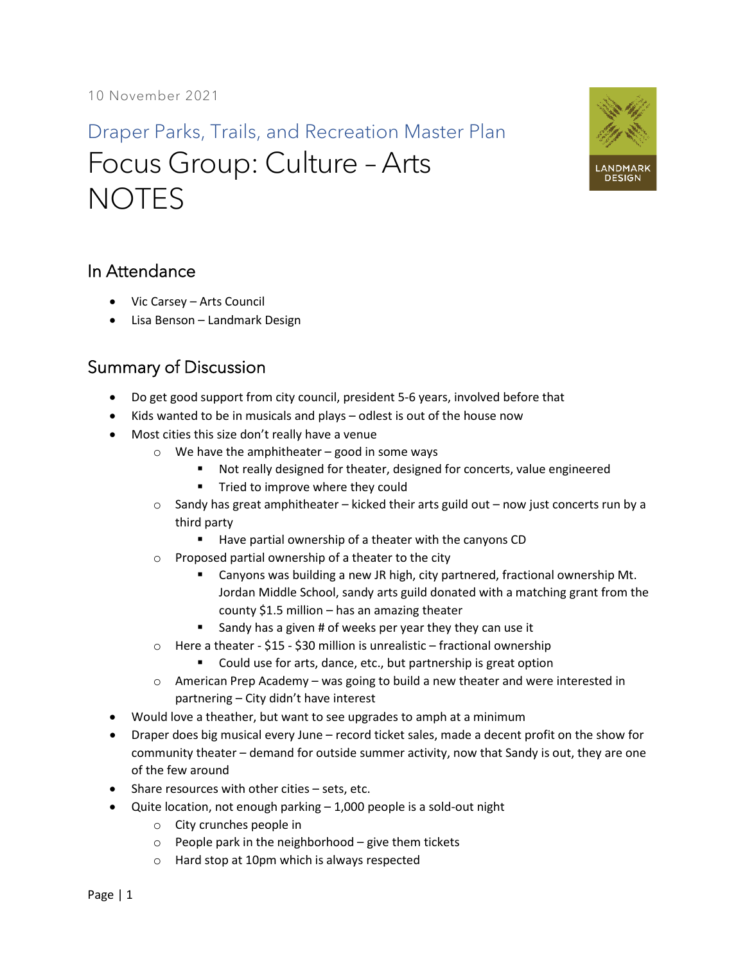Draper Parks, Trails, and Recreation Master Plan Focus Group: Culture – Arts **NOTES** 



## In Attendance

- Vic Carsey Arts Council
- Lisa Benson Landmark Design

## Summary of Discussion

- Do get good support from city council, president 5-6 years, involved before that
- Kids wanted to be in musicals and plays odlest is out of the house now
- Most cities this size don't really have a venue
	- $\circ$  We have the amphitheater good in some ways
		- Not really designed for theater, designed for concerts, value engineered
		- Tried to improve where they could
	- $\circ$  Sandy has great amphitheater kicked their arts guild out now just concerts run by a third party
		- Have partial ownership of a theater with the canyons CD
	- o Proposed partial ownership of a theater to the city
		- Canyons was building a new JR high, city partnered, fractional ownership Mt. Jordan Middle School, sandy arts guild donated with a matching grant from the county \$1.5 million – has an amazing theater
		- Sandy has a given # of weeks per year they they can use it
	- $\circ$  Here a theater \$15 \$30 million is unrealistic fractional ownership
		- Could use for arts, dance, etc., but partnership is great option
	- $\circ$  American Prep Academy was going to build a new theater and were interested in partnering – City didn't have interest
- Would love a theather, but want to see upgrades to amph at a minimum
- Draper does big musical every June record ticket sales, made a decent profit on the show for community theater – demand for outside summer activity, now that Sandy is out, they are one of the few around
- Share resources with other cities sets, etc.
- Quite location, not enough parking 1,000 people is a sold-out night
	- o City crunches people in
	- o People park in the neighborhood give them tickets
	- o Hard stop at 10pm which is always respected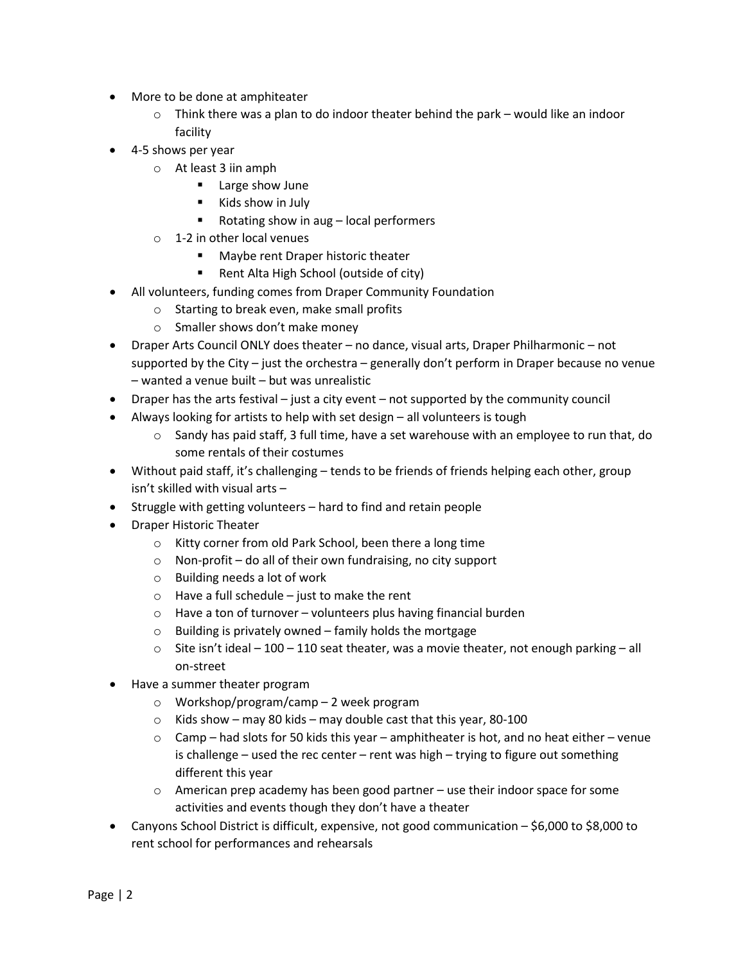- More to be done at amphiteater
	- $\circ$  Think there was a plan to do indoor theater behind the park would like an indoor facility
- 4-5 shows per year
	- o At least 3 iin amph
		- **Large show June**
		- Kids show in July
		- Rotating show in aug local performers
	- o 1-2 in other local venues
		- Maybe rent Draper historic theater
		- Rent Alta High School (outside of city)
- All volunteers, funding comes from Draper Community Foundation
	- o Starting to break even, make small profits
	- o Smaller shows don't make money
- Draper Arts Council ONLY does theater no dance, visual arts, Draper Philharmonic not supported by the City – just the orchestra – generally don't perform in Draper because no venue – wanted a venue built – but was unrealistic
- Draper has the arts festival just a city event not supported by the community council
- Always looking for artists to help with set design all volunteers is tough
	- $\circ$  Sandy has paid staff, 3 full time, have a set warehouse with an employee to run that, do some rentals of their costumes
- Without paid staff, it's challenging tends to be friends of friends helping each other, group isn't skilled with visual arts –
- Struggle with getting volunteers hard to find and retain people
- Draper Historic Theater
	- o Kitty corner from old Park School, been there a long time
	- o Non-profit do all of their own fundraising, no city support
	- o Building needs a lot of work
	- $\circ$  Have a full schedule just to make the rent
	- $\circ$  Have a ton of turnover volunteers plus having financial burden
	- $\circ$  Building is privately owned family holds the mortgage
	- $\circ$  Site isn't ideal 100 110 seat theater, was a movie theater, not enough parking all on-street
- Have a summer theater program
	- o Workshop/program/camp 2 week program
	- $\circ$  Kids show may 80 kids may double cast that this year, 80-100
	- $\circ$  Camp had slots for 50 kids this year amphitheater is hot, and no heat either venue is challenge – used the rec center – rent was high – trying to figure out something different this year
	- $\circ$  American prep academy has been good partner use their indoor space for some activities and events though they don't have a theater
- Canyons School District is difficult, expensive, not good communication \$6,000 to \$8,000 to rent school for performances and rehearsals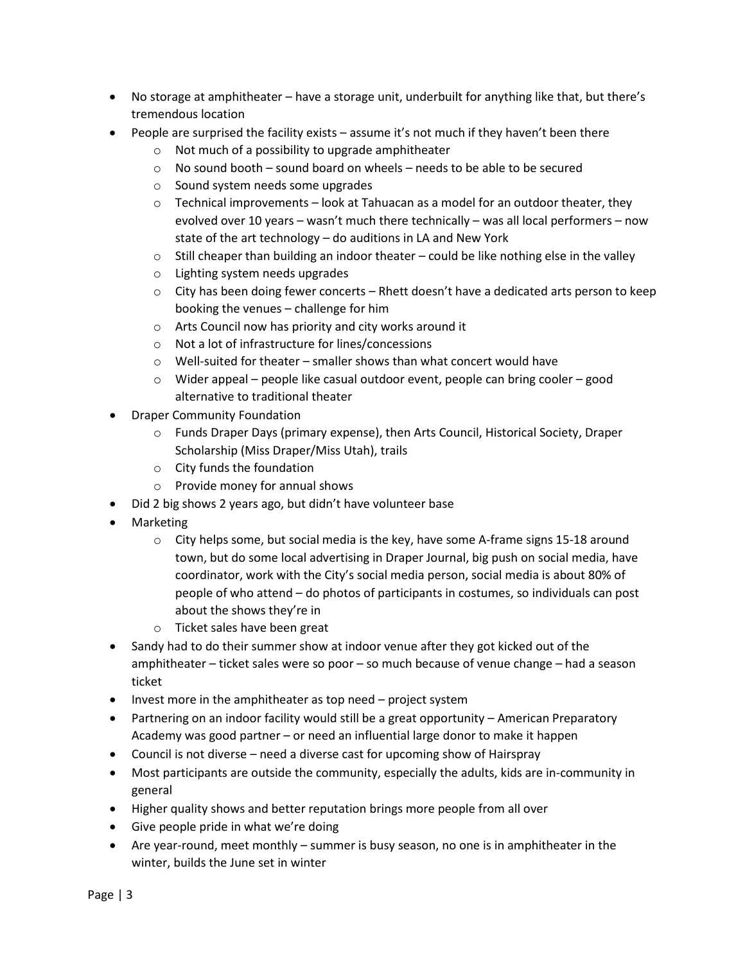- No storage at amphitheater have a storage unit, underbuilt for anything like that, but there's tremendous location
- People are surprised the facility exists assume it's not much if they haven't been there
	- o Not much of a possibility to upgrade amphitheater
	- $\circ$  No sound booth sound board on wheels needs to be able to be secured
	- o Sound system needs some upgrades
	- $\circ$  Technical improvements look at Tahuacan as a model for an outdoor theater, they evolved over 10 years – wasn't much there technically – was all local performers – now state of the art technology – do auditions in LA and New York
	- $\circ$  Still cheaper than building an indoor theater could be like nothing else in the valley
	- o Lighting system needs upgrades
	- $\circ$  City has been doing fewer concerts Rhett doesn't have a dedicated arts person to keep booking the venues – challenge for him
	- o Arts Council now has priority and city works around it
	- o Not a lot of infrastructure for lines/concessions
	- o Well-suited for theater smaller shows than what concert would have
	- o Wider appeal people like casual outdoor event, people can bring cooler good alternative to traditional theater
- Draper Community Foundation
	- o Funds Draper Days (primary expense), then Arts Council, Historical Society, Draper Scholarship (Miss Draper/Miss Utah), trails
	- o City funds the foundation
	- o Provide money for annual shows
- Did 2 big shows 2 years ago, but didn't have volunteer base
- Marketing
	- $\circ$  City helps some, but social media is the key, have some A-frame signs 15-18 around town, but do some local advertising in Draper Journal, big push on social media, have coordinator, work with the City's social media person, social media is about 80% of people of who attend – do photos of participants in costumes, so individuals can post about the shows they're in
	- o Ticket sales have been great
- Sandy had to do their summer show at indoor venue after they got kicked out of the amphitheater – ticket sales were so poor – so much because of venue change – had a season ticket
- Invest more in the amphitheater as top need project system
- Partnering on an indoor facility would still be a great opportunity American Preparatory Academy was good partner – or need an influential large donor to make it happen
- Council is not diverse need a diverse cast for upcoming show of Hairspray
- Most participants are outside the community, especially the adults, kids are in-community in general
- Higher quality shows and better reputation brings more people from all over
- Give people pride in what we're doing
- Are year-round, meet monthly summer is busy season, no one is in amphitheater in the winter, builds the June set in winter